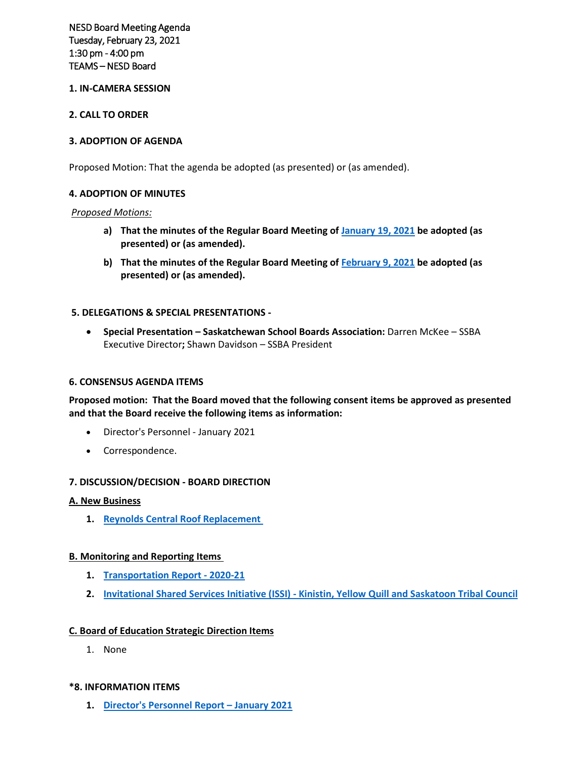NESD Board Meeting Agenda Tuesday, February 23, 2021 1:30 pm - 4:00 pm TEAMS – NESD Board

## **1. IN-CAMERA SESSION**

### **2. CALL TO ORDER**

### **3. ADOPTION OF AGENDA**

Proposed Motion: That the agenda be adopted (as presented) or (as amended).

#### **4. ADOPTION OF MINUTES**

#### *Proposed Motions:*

- **a) That the minutes of the Regular Board Meeting of January 19, 2021 be adopted (as presented) or (as amended).**
- **b) That the minutes of the Regular Board Meeting of February 9, 2021 be adopted (as presented) or (as amended).**

#### **5. DELEGATIONS & SPECIAL PRESENTATIONS -**

• **Special Presentation – Saskatchewan School Boards Association:** Darren McKee – SSBA Executive Director**;** Shawn Davidson – SSBA President

#### **6. CONSENSUS AGENDA ITEMS**

**Proposed motion: That the Board moved that the following consent items be approved as presented and that the Board receive the following items as information:**

- Director's Personnel January 2021
- Correspondence.

#### **7. DISCUSSION/DECISION - BOARD DIRECTION**

#### **A. New Business**

**1. Reynolds Central Roof Replacement**

## **B. Monitoring and Reporting Items**

- **1. Transportation Report 2020-21**
- **2. Invitational Shared Services Initiative (ISSI) Kinistin, Yellow Quill and Saskatoon Tribal Council**

## **C. Board of Education Strategic Direction Items**

1. None

#### **\*8. INFORMATION ITEMS**

**1. Director's Personnel Report – January 2021**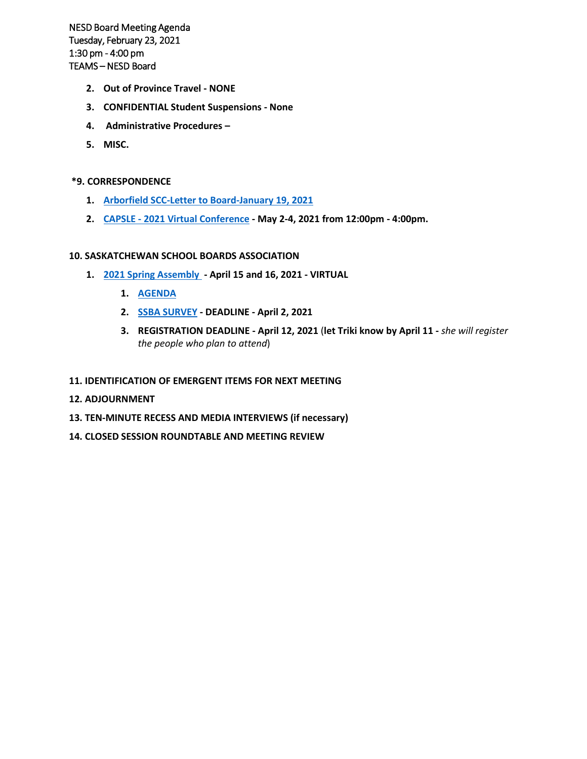NESD Board Meeting Agenda Tuesday, February 23, 2021 1:30 pm - 4:00 pm TEAMS – NESD Board

- **2. Out of Province Travel NONE**
- **3. CONFIDENTIAL Student Suspensions None**
- **4. Administrative Procedures –**
- **5. MISC.**

## **\*9. CORRESPONDENCE**

- **1. Arborfield SCC-Letter to Board-January 19, 2021**
- **2. CAPSLE 2021 Virtual Conference May 2-4, 2021 from 12:00pm 4:00pm.**

## **10. SASKATCHEWAN SCHOOL BOARDS ASSOCIATION**

- **1. 2021 Spring Assembly April 15 and 16, 2021 VIRTUAL**
	- **1. AGENDA**
	- **2. SSBA SURVEY DEADLINE April 2, 2021**
	- **3. REGISTRATION DEADLINE April 12, 2021** (**let Triki know by April 11** *she will register the people who plan to attend*)

## **11. IDENTIFICATION OF EMERGENT ITEMS FOR NEXT MEETING**

- **12. ADJOURNMENT**
- **13. TEN-MINUTE RECESS AND MEDIA INTERVIEWS (if necessary)**
- **14. CLOSED SESSION ROUNDTABLE AND MEETING REVIEW**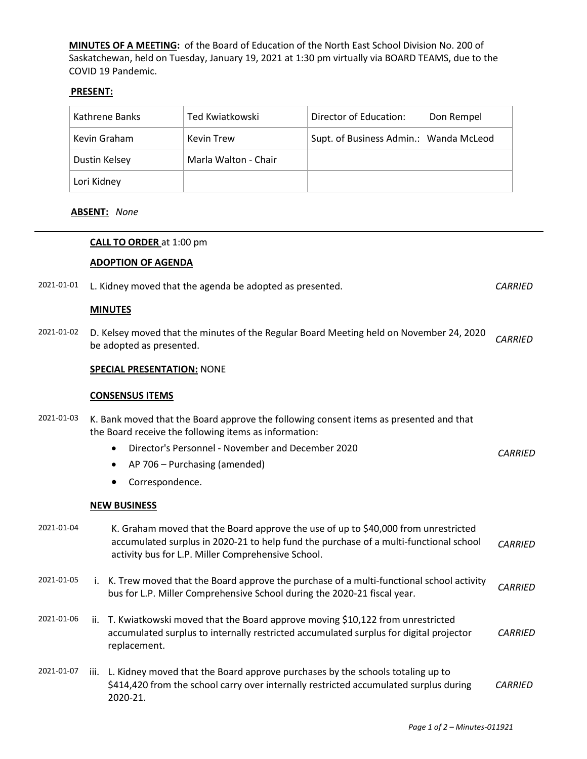**MINUTES OF A MEETING:** of the Board of Education of the North East School Division No. 200 of Saskatchewan, held on Tuesday, January 19, 2021 at 1:30 pm virtually via BOARD TEAMS, due to the COVID 19 Pandemic.

## **PRESENT:**

| Kathrene Banks | Ted Kwiatkowski      | Director of Education:<br>Don Rempel   |
|----------------|----------------------|----------------------------------------|
| Kevin Graham   | Kevin Trew           | Supt. of Business Admin.: Wanda McLeod |
| Dustin Kelsey  | Marla Walton - Chair |                                        |
| Lori Kidney    |                      |                                        |

## **ABSENT:** *None*

## **CALL TO ORDER** at 1:00 pm

## **ADOPTION OF AGENDA**

| 2021-01-01 |                        | L. Kidney moved that the agenda be adopted as presented.                                                                                                                                                                          | <b>CARRIED</b> |
|------------|------------------------|-----------------------------------------------------------------------------------------------------------------------------------------------------------------------------------------------------------------------------------|----------------|
|            | <b>MINUTES</b>         |                                                                                                                                                                                                                                   |                |
| 2021-01-02 |                        | D. Kelsey moved that the minutes of the Regular Board Meeting held on November 24, 2020<br>be adopted as presented.                                                                                                               | <b>CARRIED</b> |
|            |                        | <b>SPECIAL PRESENTATION: NONE</b>                                                                                                                                                                                                 |                |
|            | <b>CONSENSUS ITEMS</b> |                                                                                                                                                                                                                                   |                |
| 2021-01-03 |                        | K. Bank moved that the Board approve the following consent items as presented and that<br>the Board receive the following items as information:                                                                                   |                |
|            | $\bullet$              | Director's Personnel - November and December 2020                                                                                                                                                                                 | <b>CARRIED</b> |
|            | $\bullet$              | AP 706 - Purchasing (amended)                                                                                                                                                                                                     |                |
|            |                        | Correspondence.                                                                                                                                                                                                                   |                |
|            | <b>NEW BUSINESS</b>    |                                                                                                                                                                                                                                   |                |
| 2021-01-04 |                        | K. Graham moved that the Board approve the use of up to \$40,000 from unrestricted<br>accumulated surplus in 2020-21 to help fund the purchase of a multi-functional school<br>activity bus for L.P. Miller Comprehensive School. | <b>CARRIED</b> |
| 2021-01-05 |                        | i. K. Trew moved that the Board approve the purchase of a multi-functional school activity<br>bus for L.P. Miller Comprehensive School during the 2020-21 fiscal year.                                                            | <b>CARRIED</b> |
| 2021-01-06 |                        | ii. T. Kwiatkowski moved that the Board approve moving \$10,122 from unrestricted<br>accumulated surplus to internally restricted accumulated surplus for digital projector<br>replacement.                                       | <b>CARRIED</b> |
| 2021-01-07 | 2020-21.               | iii. L. Kidney moved that the Board approve purchases by the schools totaling up to<br>\$414,420 from the school carry over internally restricted accumulated surplus during                                                      | <b>CARRIED</b> |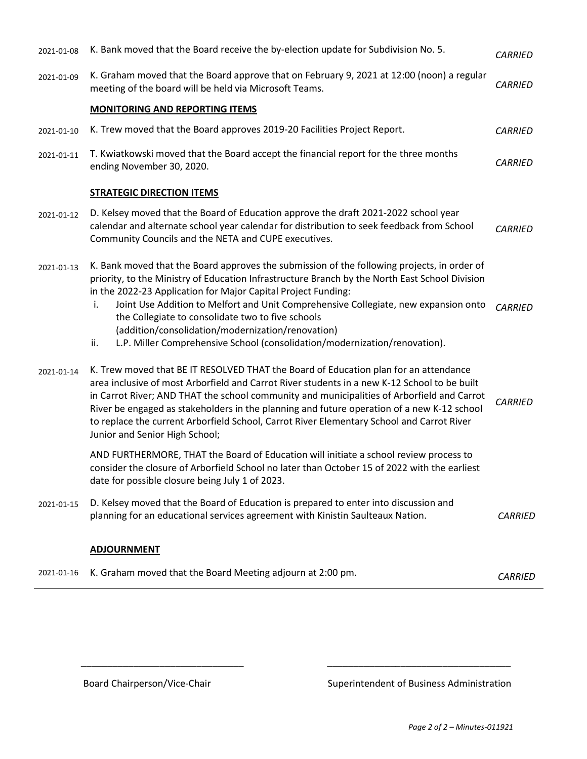| 2021-01-08 | K. Bank moved that the Board receive the by-election update for Subdivision No. 5.                                                                                                                                                                                                                                                                                                                                                                                                                                                                         | <b>CARRIED</b> |
|------------|------------------------------------------------------------------------------------------------------------------------------------------------------------------------------------------------------------------------------------------------------------------------------------------------------------------------------------------------------------------------------------------------------------------------------------------------------------------------------------------------------------------------------------------------------------|----------------|
| 2021-01-09 | K. Graham moved that the Board approve that on February 9, 2021 at 12:00 (noon) a regular<br>meeting of the board will be held via Microsoft Teams.                                                                                                                                                                                                                                                                                                                                                                                                        | <b>CARRIED</b> |
|            | <b>MONITORING AND REPORTING ITEMS</b>                                                                                                                                                                                                                                                                                                                                                                                                                                                                                                                      |                |
| 2021-01-10 | K. Trew moved that the Board approves 2019-20 Facilities Project Report.                                                                                                                                                                                                                                                                                                                                                                                                                                                                                   | <b>CARRIED</b> |
| 2021-01-11 | T. Kwiatkowski moved that the Board accept the financial report for the three months<br>ending November 30, 2020.                                                                                                                                                                                                                                                                                                                                                                                                                                          | <b>CARRIED</b> |
|            | <b>STRATEGIC DIRECTION ITEMS</b>                                                                                                                                                                                                                                                                                                                                                                                                                                                                                                                           |                |
| 2021-01-12 | D. Kelsey moved that the Board of Education approve the draft 2021-2022 school year<br>calendar and alternate school year calendar for distribution to seek feedback from School<br>Community Councils and the NETA and CUPE executives.                                                                                                                                                                                                                                                                                                                   | <b>CARRIED</b> |
| 2021-01-13 | K. Bank moved that the Board approves the submission of the following projects, in order of<br>priority, to the Ministry of Education Infrastructure Branch by the North East School Division<br>in the 2022-23 Application for Major Capital Project Funding:<br>Joint Use Addition to Melfort and Unit Comprehensive Collegiate, new expansion onto<br>i.<br>the Collegiate to consolidate two to five schools<br>(addition/consolidation/modernization/renovation)<br>L.P. Miller Comprehensive School (consolidation/modernization/renovation).<br>ii. | <b>CARRIED</b> |
| 2021-01-14 | K. Trew moved that BE IT RESOLVED THAT the Board of Education plan for an attendance<br>area inclusive of most Arborfield and Carrot River students in a new K-12 School to be built<br>in Carrot River; AND THAT the school community and municipalities of Arborfield and Carrot<br>River be engaged as stakeholders in the planning and future operation of a new K-12 school<br>to replace the current Arborfield School, Carrot River Elementary School and Carrot River<br>Junior and Senior High School;                                            | <b>CARRIED</b> |
|            | AND FURTHERMORE, THAT the Board of Education will initiate a school review process to<br>consider the closure of Arborfield School no later than October 15 of 2022 with the earliest<br>date for possible closure being July 1 of 2023.                                                                                                                                                                                                                                                                                                                   |                |
| 2021-01-15 | D. Kelsey moved that the Board of Education is prepared to enter into discussion and<br>planning for an educational services agreement with Kinistin Saulteaux Nation.                                                                                                                                                                                                                                                                                                                                                                                     | <b>CARRIED</b> |
|            | <b>ADJOURNMENT</b>                                                                                                                                                                                                                                                                                                                                                                                                                                                                                                                                         |                |
| 2021-01-16 | K. Graham moved that the Board Meeting adjourn at 2:00 pm.                                                                                                                                                                                                                                                                                                                                                                                                                                                                                                 | <b>CARRIED</b> |

 $\overline{\phantom{a}}$  , and the set of the set of the set of the set of the set of the set of the set of the set of the set of the set of the set of the set of the set of the set of the set of the set of the set of the set of the s

Board Chairperson/Vice-Chair Superintendent of Business Administration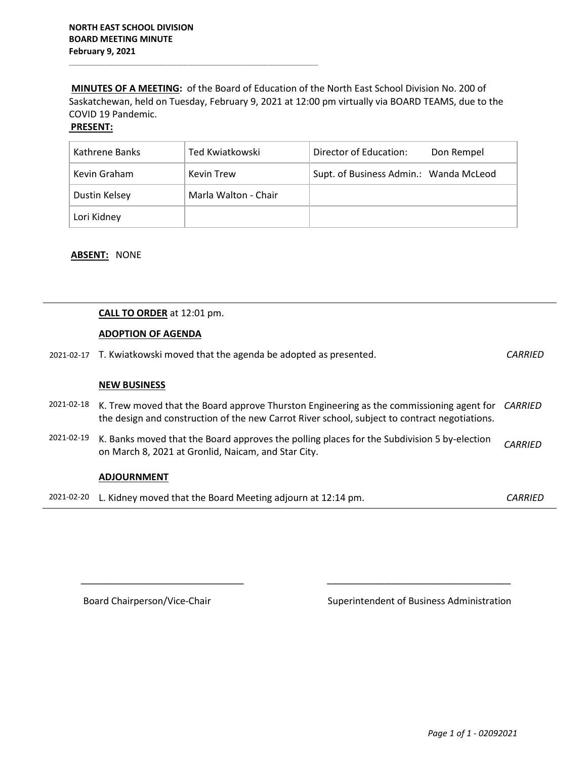**MINUTES OF A MEETING:** of the Board of Education of the North East School Division No. 200 of Saskatchewan, held on Tuesday, February 9, 2021 at 12:00 pm virtually via BOARD TEAMS, due to the COVID 19 Pandemic.

## **PRESENT:**

| Kathrene Banks | Ted Kwiatkowski      | Director of Education:<br>Don Rempel   |
|----------------|----------------------|----------------------------------------|
| Kevin Graham   | Kevin Trew           | Supt. of Business Admin.: Wanda McLeod |
| Dustin Kelsey  | Marla Walton - Chair |                                        |
| Lori Kidney    |                      |                                        |

#### **ABSENT:** NONE

## **CALL TO ORDER** at 12:01 pm.

#### **ADOPTION OF AGENDA**

| 2021-02-17 T. Kwiatkowski moved that the agenda be adopted as presented. | <b>CARRIED</b> |
|--------------------------------------------------------------------------|----------------|
|                                                                          |                |

#### **NEW BUSINESS**

- 2021-02-18 K. Trew moved that the Board approve Thurston Engineering as the commissioning agent for *CARRIED* the design and construction of the new Carrot River school, subject to contract negotiations.
- 2021-02-19 K. Banks moved that the Board approves the polling places for the Subdivision 5 by-election on March 8, 2021 at Gronlid, Naicam, and Star City. *CARRIED*

#### **ADJOURNMENT**

|  | 2021-02-20 L. Kidney moved that the Board Meeting adjourn at 12:14 pm. | CARRIED |
|--|------------------------------------------------------------------------|---------|
|--|------------------------------------------------------------------------|---------|

 $\overline{\phantom{a}}$  ,  $\overline{\phantom{a}}$  ,  $\overline{\phantom{a}}$  ,  $\overline{\phantom{a}}$  ,  $\overline{\phantom{a}}$  ,  $\overline{\phantom{a}}$  ,  $\overline{\phantom{a}}$  ,  $\overline{\phantom{a}}$  ,  $\overline{\phantom{a}}$  ,  $\overline{\phantom{a}}$  ,  $\overline{\phantom{a}}$  ,  $\overline{\phantom{a}}$  ,  $\overline{\phantom{a}}$  ,  $\overline{\phantom{a}}$  ,  $\overline{\phantom{a}}$  ,  $\overline{\phantom{a}}$ 

Board Chairperson/Vice-Chair Superintendent of Business Administration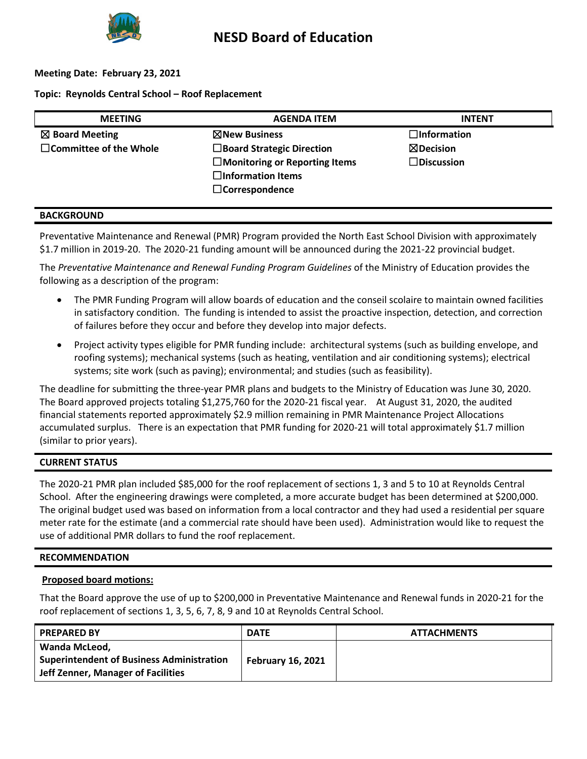

## **Meeting Date: February 23, 2021**

## **Topic: Reynolds Central School – Roof Replacement**

| <b>MEETING</b>                | <b>AGENDA ITEM</b>                   | <b>INTENT</b>        |
|-------------------------------|--------------------------------------|----------------------|
| $\boxtimes$ Board Meeting     | ⊠New Business                        | $\Box$ Information   |
| $\Box$ Committee of the Whole | $\Box$ Board Strategic Direction     | $\boxtimes$ Decision |
|                               | $\Box$ Monitoring or Reporting Items | $\square$ Discussion |
|                               | $\square$ Information Items          |                      |
|                               | $\Box$ Correspondence                |                      |
|                               |                                      |                      |

## **BACKGROUND**

Preventative Maintenance and Renewal (PMR) Program provided the North East School Division with approximately \$1.7 million in 2019-20. The 2020-21 funding amount will be announced during the 2021-22 provincial budget.

The *Preventative Maintenance and Renewal Funding Program Guidelines* of the Ministry of Education provides the following as a description of the program:

- The PMR Funding Program will allow boards of education and the conseil scolaire to maintain owned facilities in satisfactory condition. The funding is intended to assist the proactive inspection, detection, and correction of failures before they occur and before they develop into major defects.
- Project activity types eligible for PMR funding include: architectural systems (such as building envelope, and roofing systems); mechanical systems (such as heating, ventilation and air conditioning systems); electrical systems; site work (such as paving); environmental; and studies (such as feasibility).

The deadline for submitting the three-year PMR plans and budgets to the Ministry of Education was June 30, 2020. The Board approved projects totaling \$1,275,760 for the 2020-21 fiscal year. At August 31, 2020, the audited financial statements reported approximately \$2.9 million remaining in PMR Maintenance Project Allocations accumulated surplus. There is an expectation that PMR funding for 2020-21 will total approximately \$1.7 million (similar to prior years).

## **CURRENT STATUS**

The 2020-21 PMR plan included \$85,000 for the roof replacement of sections 1, 3 and 5 to 10 at Reynolds Central School. After the engineering drawings were completed, a more accurate budget has been determined at \$200,000. The original budget used was based on information from a local contractor and they had used a residential per square meter rate for the estimate (and a commercial rate should have been used). Administration would like to request the use of additional PMR dollars to fund the roof replacement.

## **RECOMMENDATION**

## **Proposed board motions:**

That the Board approve the use of up to \$200,000 in Preventative Maintenance and Renewal funds in 2020-21 for the roof replacement of sections 1, 3, 5, 6, 7, 8, 9 and 10 at Reynolds Central School.

| <b>PREPARED BY</b>                                                                                      | <b>DATE</b>              | <b>ATTACHMENTS</b> |
|---------------------------------------------------------------------------------------------------------|--------------------------|--------------------|
| Wanda McLeod,<br><b>Superintendent of Business Administration</b><br>Jeff Zenner, Manager of Facilities | <b>February 16, 2021</b> |                    |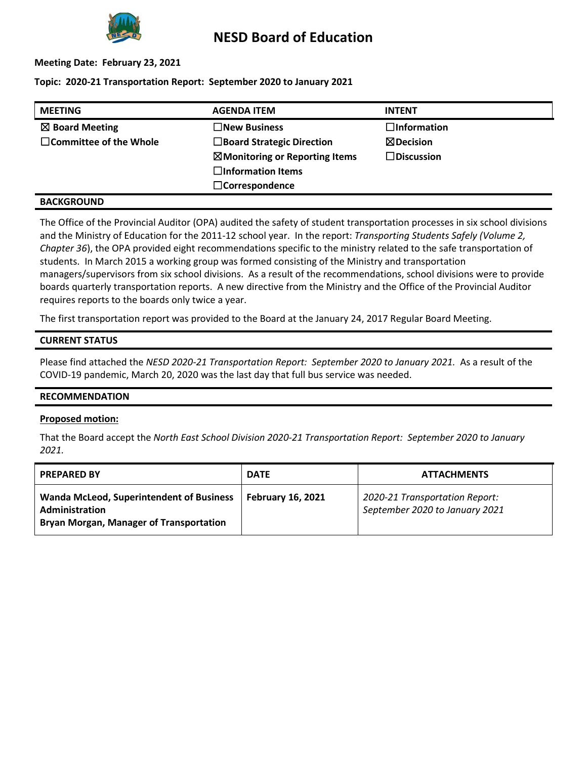

# **NESD Board of Education**

## **Meeting Date: February 23, 2021**

## **Topic: 2020-21 Transportation Report: September 2020 to January 2021**

| <b>MEETING</b>                | <b>AGENDA ITEM</b>                        | <b>INTENT</b>         |
|-------------------------------|-------------------------------------------|-----------------------|
| $\boxtimes$ Board Meeting     | $\square$ New Business                    | $\square$ Information |
| $\Box$ Committee of the Whole | $\Box$ Board Strategic Direction          | $\boxtimes$ Decision  |
|                               | $\boxtimes$ Monitoring or Reporting Items | $\Box$ Discussion     |
|                               | $\square$ Information Items               |                       |
|                               | $\Box$ Correspondence                     |                       |
|                               |                                           |                       |

## **BACKGROUND**

The Office of the Provincial Auditor (OPA) audited the safety of student transportation processes in six school divisions and the Ministry of Education for the 2011-12 school year. In the report: *Transporting Students Safely (Volume 2, Chapter 36*), the OPA provided eight recommendations specific to the ministry related to the safe transportation of students. In March 2015 a working group was formed consisting of the Ministry and transportation managers/supervisors from six school divisions. As a result of the recommendations, school divisions were to provide boards quarterly transportation reports. A new directive from the Ministry and the Office of the Provincial Auditor requires reports to the boards only twice a year.

The first transportation report was provided to the Board at the January 24, 2017 Regular Board Meeting.

## **CURRENT STATUS**

Please find attached the *NESD 2020-21 Transportation Report: September 2020 to January 2021.* As a result of the COVID-19 pandemic, March 20, 2020 was the last day that full bus service was needed.

## **RECOMMENDATION**

## **Proposed motion:**

That the Board accept the *North East School Division 2020-21 Transportation Report: September 2020 to January 2021.*

| <b>PREPARED BY</b>                                                                                                  | <b>DATE</b>              | <b>ATTACHMENTS</b>                                               |
|---------------------------------------------------------------------------------------------------------------------|--------------------------|------------------------------------------------------------------|
| <b>Wanda McLeod, Superintendent of Business</b><br>Administration<br><b>Bryan Morgan, Manager of Transportation</b> | <b>February 16, 2021</b> | 2020-21 Transportation Report:<br>September 2020 to January 2021 |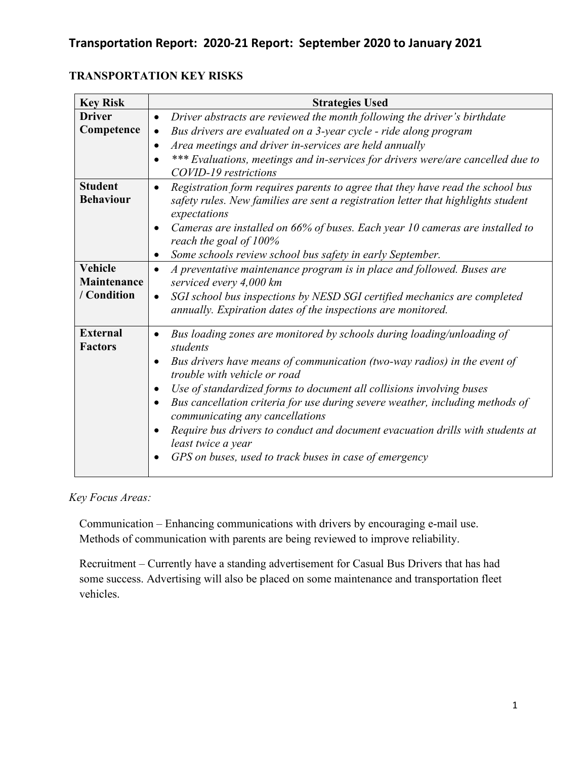# **Transportation Report: 2020-21 Report: September 2020 to January 2021**

| <b>TRANSPORTATION KEY RISKS</b> |  |
|---------------------------------|--|
|---------------------------------|--|

| <b>Key Risk</b>                              | <b>Strategies Used</b>                                                                                                                                                                                                                                                                                                                                                                                                                                                                                                                                                                              |
|----------------------------------------------|-----------------------------------------------------------------------------------------------------------------------------------------------------------------------------------------------------------------------------------------------------------------------------------------------------------------------------------------------------------------------------------------------------------------------------------------------------------------------------------------------------------------------------------------------------------------------------------------------------|
| <b>Driver</b><br>Competence                  | Driver abstracts are reviewed the month following the driver's birthdate<br>$\bullet$<br>Bus drivers are evaluated on a 3-year cycle - ride along program<br>$\bullet$<br>Area meetings and driver in-services are held annually<br>$\bullet$<br>*** Evaluations, meetings and in-services for drivers were/are cancelled due to<br>COVID-19 restrictions                                                                                                                                                                                                                                           |
| <b>Student</b><br><b>Behaviour</b>           | Registration form requires parents to agree that they have read the school bus<br>$\bullet$<br>safety rules. New families are sent a registration letter that highlights student<br>expectations<br>Cameras are installed on 66% of buses. Each year 10 cameras are installed to<br>$\bullet$<br>reach the goal of 100%<br>Some schools review school bus safety in early September.<br>$\bullet$                                                                                                                                                                                                   |
| <b>Vehicle</b><br>Maintenance<br>/ Condition | A preventative maintenance program is in place and followed. Buses are<br>$\bullet$<br>serviced every 4,000 km<br>SGI school bus inspections by NESD SGI certified mechanics are completed<br>$\bullet$<br>annually. Expiration dates of the inspections are monitored.                                                                                                                                                                                                                                                                                                                             |
| <b>External</b><br><b>Factors</b>            | Bus loading zones are monitored by schools during loading/unloading of<br>students<br>Bus drivers have means of communication (two-way radios) in the event of<br>$\bullet$<br>trouble with vehicle or road<br>Use of standardized forms to document all collisions involving buses<br>$\bullet$<br>Bus cancellation criteria for use during severe weather, including methods of<br>$\bullet$<br>communicating any cancellations<br>Require bus drivers to conduct and document evacuation drills with students at<br>least twice a year<br>GPS on buses, used to track buses in case of emergency |

*Key Focus Areas:*

Communication – Enhancing communications with drivers by encouraging e-mail use. Methods of communication with parents are being reviewed to improve reliability.

Recruitment – Currently have a standing advertisement for Casual Bus Drivers that has had some success. Advertising will also be placed on some maintenance and transportation fleet vehicles.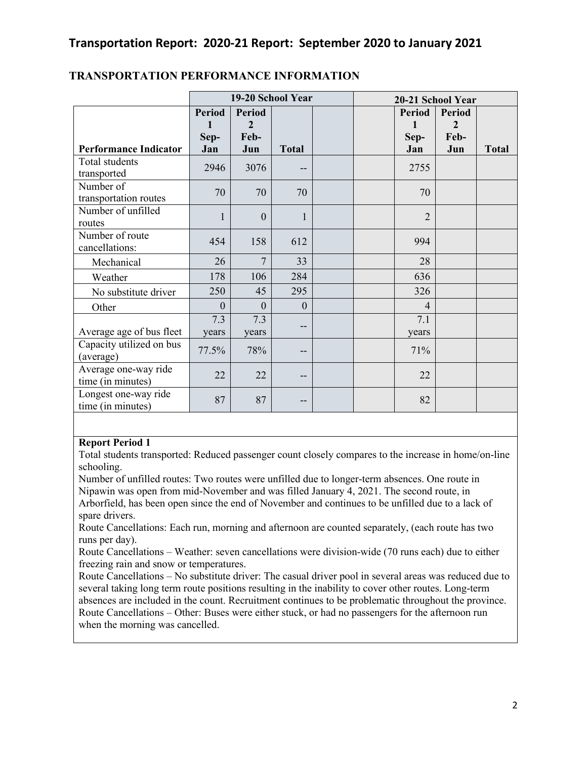|                                           | 19-20 School Year                 |                                              |              | 20-21 School Year |  |                            |                                         |              |
|-------------------------------------------|-----------------------------------|----------------------------------------------|--------------|-------------------|--|----------------------------|-----------------------------------------|--------------|
| <b>Performance Indicator</b>              | <b>Period</b><br>1<br>Sep-<br>Jan | <b>Period</b><br>$\mathbf{2}$<br>Feb-<br>Jun | <b>Total</b> |                   |  | Period<br>1<br>Sep-<br>Jan | Period<br>$\overline{2}$<br>Feb-<br>Jun | <b>Total</b> |
| Total students<br>transported             | 2946                              | 3076                                         | $- -$        |                   |  | 2755                       |                                         |              |
| Number of<br>transportation routes        | 70                                | 70                                           | 70           |                   |  | 70                         |                                         |              |
| Number of unfilled<br>routes              | $\mathbf{1}$                      | $\overline{0}$                               | 1            |                   |  | $\overline{2}$             |                                         |              |
| Number of route<br>cancellations:         | 454                               | 158                                          | 612          |                   |  | 994                        |                                         |              |
| Mechanical                                | 26                                | $\overline{7}$                               | 33           |                   |  | 28                         |                                         |              |
| Weather                                   | 178                               | 106                                          | 284          |                   |  | 636                        |                                         |              |
| No substitute driver                      | 250                               | 45                                           | 295          |                   |  | 326                        |                                         |              |
| Other                                     | $\Omega$                          | $\theta$                                     | $\theta$     |                   |  | $\overline{4}$             |                                         |              |
| Average age of bus fleet                  | 7.3<br>years                      | 7.3<br>years                                 | --           |                   |  | 7.1<br>years               |                                         |              |
| Capacity utilized on bus<br>(average)     | 77.5%                             | 78%                                          | --           |                   |  | 71%                        |                                         |              |
| Average one-way ride<br>time (in minutes) | 22                                | 22                                           | $- -$        |                   |  | 22                         |                                         |              |
| Longest one-way ride<br>time (in minutes) | 87                                | 87                                           | --           |                   |  | 82                         |                                         |              |

# **TRANSPORTATION PERFORMANCE INFORMATION**

## **Report Period 1**

Total students transported: Reduced passenger count closely compares to the increase in home/on-line schooling.

Number of unfilled routes: Two routes were unfilled due to longer-term absences. One route in Nipawin was open from mid-November and was filled January 4, 2021. The second route, in Arborfield, has been open since the end of November and continues to be unfilled due to a lack of spare drivers.

Route Cancellations: Each run, morning and afternoon are counted separately, (each route has two runs per day).

Route Cancellations – Weather: seven cancellations were division-wide (70 runs each) due to either freezing rain and snow or temperatures.

Route Cancellations – No substitute driver: The casual driver pool in several areas was reduced due to several taking long term route positions resulting in the inability to cover other routes. Long-term absences are included in the count. Recruitment continues to be problematic throughout the province. Route Cancellations – Other: Buses were either stuck, or had no passengers for the afternoon run when the morning was cancelled.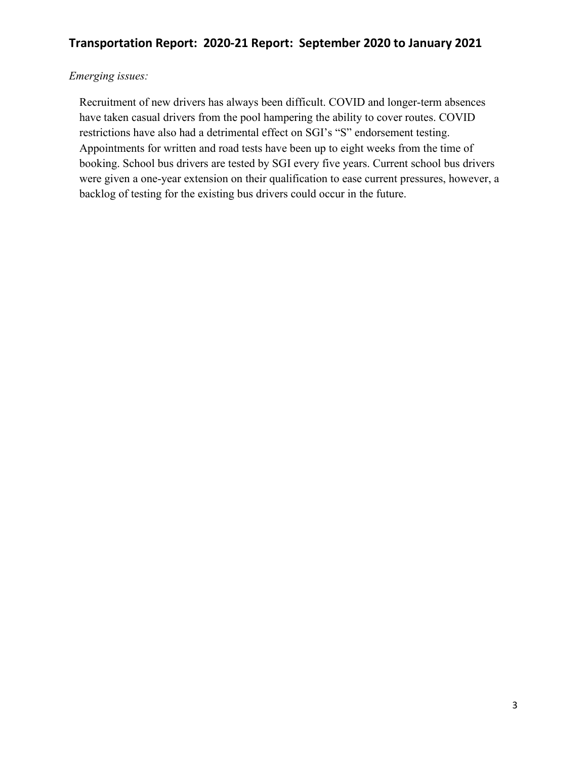# *Emerging issues:*

Recruitment of new drivers has always been difficult. COVID and longer-term absences have taken casual drivers from the pool hampering the ability to cover routes. COVID restrictions have also had a detrimental effect on SGI's "S" endorsement testing. Appointments for written and road tests have been up to eight weeks from the time of booking. School bus drivers are tested by SGI every five years. Current school bus drivers were given a one-year extension on their qualification to ease current pressures, however, a backlog of testing for the existing bus drivers could occur in the future.